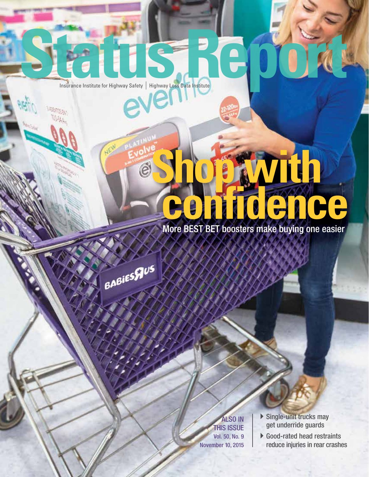Status Report

**NEW** 

**REPORTS** 

# **Shop with** é **confidence**

More BEST BET boosters make buying one easier



ALSO IN THIS ISSUE Vol. 50, No. 9 November 10, 2015

- $\triangleright$  Single-unit trucks may get underride guards
- 4Good-rated head restraints reduce injuries in rear crashes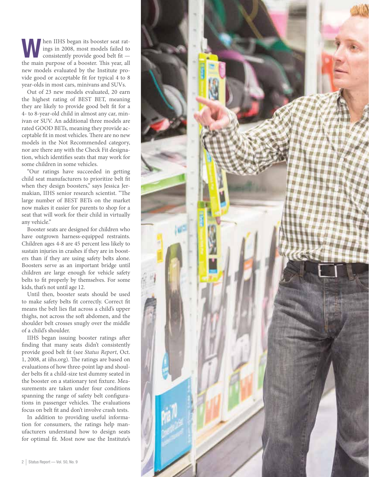When IIHS began its booster seat rat-<br>
ings in 2008, most models failed to<br>
consistently provide good belt fit ings in 2008, most models failed to the main purpose of a booster. This year, all new models evaluated by the Institute provide good or acceptable fit for typical 4 to 8 year-olds in most cars, minivans and SUVs.

Out of 23 new models evaluated, 20 earn the highest rating of BEST BET, meaning they are likely to provide good belt fit for a 4- to 8-year-old child in almost any car, minivan or SUV. An additional three models are rated GOOD BETs, meaning they provide acceptable fit in most vehicles. There are no new models in the Not Recommended category, nor are there any with the Check Fit designation, which identifies seats that may work for some children in some vehicles.

"Our ratings have succeeded in getting child seat manufacturers to prioritize belt fit when they design boosters," says Jessica Jermakian, IIHS senior research scientist. "The large number of BEST BETs on the market now makes it easier for parents to shop for a seat that will work for their child in virtually any vehicle."

Booster seats are designed for children who have outgrown harness-equipped restraints. Children ages 4-8 are 45 percent less likely to sustain injuries in crashes if they are in boosters than if they are using safety belts alone. Boosters serve as an important bridge until children are large enough for vehicle safety belts to fit properly by themselves. For some kids, that's not until age 12.

Until then, booster seats should be used to make safety belts fit correctly. Correct fit means the belt lies flat across a child's upper thighs, not across the soft abdomen, and the shoulder belt crosses snugly over the middle of a child's shoulder.

IIHS began issuing booster ratings after finding that many seats didn't consistently provide good belt fit (see *Status Report*, Oct. 1, 2008, at iihs.org). The ratings are based on evaluations of how three-point lap and shoulder belts fit a child-size test dummy seated in the booster on a stationary test fixture. Measurements are taken under four conditions spanning the range of safety belt configurations in passenger vehicles. The evaluations focus on belt fit and don't involve crash tests.

In addition to providing useful information for consumers, the ratings help manufacturers understand how to design seats for optimal fit. Most now use the Institute's

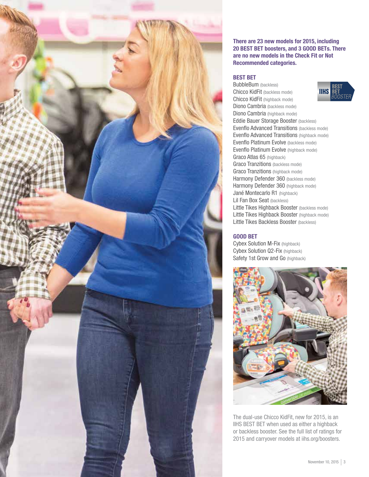

There are 23 new models for 2015, including 20 BEST BET boosters, and 3 GOOD BETs. There are no new models in the Check Fit or Not Recommended categories.

### BEST BET

BubbleBum (backless) **IIHS** Chicco KidFit (backless mode) Chicco KidFit (highback mode) Diono Cambria (backless mode) Diono Cambria (highback mode) Eddie Bauer Storage Booster (backless) Evenflo Advanced Transitions (backless mode) Evenflo Advanced Transitions (highback mode) Evenflo Platinum Evolve (backless mode) Evenflo Platinum Evolve (highback mode) Graco Atlas 65 (highback) Graco Tranzitions (backless mode) Graco Tranzitions (highback mode) Harmony Defender 360 (backless mode) Harmony Defender 360 (highback mode) Jané Montecarlo R1 (highback) Lil Fan Box Seat (backless) Little Tikes Highback Booster (backless mode) Little Tikes Highback Booster (highback mode) Little Tikes Backless Booster (backless)

### GOOD BET

Cybex Solution M-Fix (highback) Cybex Solution Q2-Fix (highback) Safety 1st Grow and Go (highback)



The dual-use Chicco KidFit, new for 2015, is an IIHS BEST BET when used as either a highback or backless booster. See the full list of ratings for 2015 and carryover models at iihs.org/boosters.

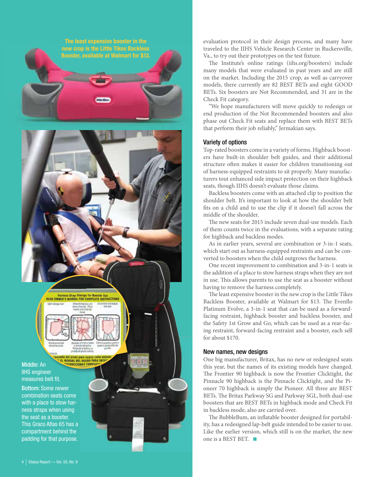

evaluation protocol in their design process, and many have traveled to the IIHS Vehicle Research Center in Ruckersville, Va., to try out their prototypes on the test fixture.

The Institute's online ratings (iihs.org/boosters) include many models that were evaluated in past years and are still on the market. Including the 2015 crop, as well as carryover models, there currently are 82 BEST BETs and eight GOOD BETs. Six boosters are Not Recommended, and 31 are in the Check Fit category.

"We hope manufacturers will move quickly to redesign or end production of the Not Recommended boosters and also phase out Check Fit seats and replace them with BEST BETs that perform their job reliably," Jermakian says.

### Variety of options

Top-rated boosters come in a variety of forms. Highback boosters have built-in shoulder belt guides, and their additional structure often makes it easier for children transitioning out of harness-equipped restraints to sit properly. Many manufacturers tout enhanced side impact protection on their highback seats, though IIHS doesn't evaluate those claims.

Backless boosters come with an attached clip to position the shoulder belt. It's important to look at how the shoulder belt fits on a child and to use the clip if it doesn't fall across the middle of the shoulder.

The new seats for 2015 include seven dual-use models. Each of them counts twice in the evaluations, with a separate rating for highback and backless modes.

As in earlier years, several are combination or 3-in-1 seats, which start out as harness-equipped restraints and can be converted to boosters when the child outgrows the harness.

One recent improvement to combination and 3-in-1 seats is the addition of a place to stow harness straps when they are not in use. This allows parents to use the seat as a booster without having to remove the harness completely.

The least expensive booster in the new crop is the Little Tikes Backless Booster, available at Walmart for \$13. The Evenflo Platinum Evolve, a 3-in-1 seat that can be used as a forwardfacing restraint, highback booster and backless booster, and the Safety 1st Grow and Go, which can be used as a rear-facing restraint, forward-facing restraint and a booster, each sell for about \$170.

#### New names, new designs

One big manufacturer, Britax, has no new or redesigned seats this year, but the names of its existing models have changed. The Frontier 90 highback is now the Frontier Clicktight, the Pinnacle 90 highback is the Pinnacle Clicktight, and the Pioneer 70 highback is simply the Pioneer. All three are BEST BETs. The Britax Parkway SG and Parkway SGL, both dual-use boosters that are BEST BETs in highback mode and Check Fit in backless mode, also are carried over.

The BubbleBum, an inflatable booster designed for portability, has a redesigned lap-belt guide intended to be easier to use. Like the earlier version, which still is on the market, the new one is a BEST BET.  $\blacksquare$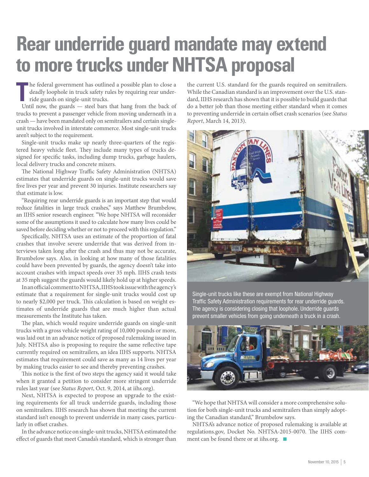### **Rear underride guard mandate may extend to more trucks under NHTSA proposal**

T he federal government has outlined a possible plan to close a deadly loophole in truck safety rules by requiring rear underride guards on single-unit trucks.

Until now, the guards — steel bars that hang from the back of trucks to prevent a passenger vehicle from moving underneath in a crash — have been mandated only on semitrailers and certain singleunit trucks involved in interstate commerce. Most single-unit trucks aren't subject to the requirement.

Single-unit trucks make up nearly three-quarters of the registered heavy vehicle fleet. They include many types of trucks designed for specific tasks, including dump trucks, garbage haulers, local delivery trucks and concrete mixers.

The National Highway Traffic Safety Administration (NHTSA) estimates that underride guards on single-unit trucks would save five lives per year and prevent 30 injuries. Institute researchers say that estimate is low.

"Requiring rear underride guards is an important step that would reduce fatalities in large truck crashes," says Matthew Brumbelow, an IIHS senior research engineer. "We hope NHTSA will reconsider some of the assumptions it used to calculate how many lives could be saved before deciding whether or not to proceed with this regulation."

Specifically, NHTSA uses an estimate of the proportion of fatal crashes that involve severe underride that was derived from interviews taken long after the crash and thus may not be accurate, Brumbelow says. Also, in looking at how many of those fatalities could have been prevented by guards, the agency doesn't take into account crashes with impact speeds over 35 mph. IIHS crash tests at 35 mph suggest the guards would likely hold up at higher speeds.

In an official comment to NHTSA, IIHS took issue with the agency's estimate that a requirement for single-unit trucks would cost up to nearly \$2,000 per truck. This calculation is based on weight estimates of underride guards that are much higher than actual measurements the Institute has taken.

The plan, which would require underride guards on single-unit trucks with a gross vehicle weight rating of 10,000 pounds or more, was laid out in an advance notice of proposed rulemaking issued in July. NHTSA also is proposing to require the same reflective tape currently required on semitrailers, an idea IIHS supports. NHTSA estimates that requirement could save as many as 14 lives per year by making trucks easier to see and thereby preventing crashes.

This notice is the first of two steps the agency said it would take when it granted a petition to consider more stringent underride rules last year (see *Status Report*, Oct. 9, 2014, at iihs.org).

Next, NHTSA is expected to propose an upgrade to the existing requirements for all truck underride guards, including those on semitrailers. IIHS research has shown that meeting the current standard isn't enough to prevent underride in many cases, particularly in offset crashes.

In the advance notice on single-unit trucks, NHTSA estimated the effect of guards that meet Canada's standard, which is stronger than the current U.S. standard for the guards required on semitrailers. While the Canadian standard is an improvement over the U.S. standard, IIHS research has shown that it is possible to build guards that do a better job than those meeting either standard when it comes to preventing underride in certain offset crash scenarios (see *Status Report*, March 14, 2013).



Single-unit trucks like these are exempt from National Highway Traffic Safety Administration requirements for rear underride guards. The agency is considering closing that loophole. Underride guards prevent smaller vehicles from going underneath a truck in a crash.



"We hope that NHTSA will consider a more comprehensive solution for both single-unit trucks and semitrailers than simply adopting the Canadian standard," Brumbelow says.

NHTSA's advance notice of proposed rulemaking is available at regulations.gov, Docket No. NHTSA-2015-0070. The IIHS comment can be found there or at iihs.org.  $\blacksquare$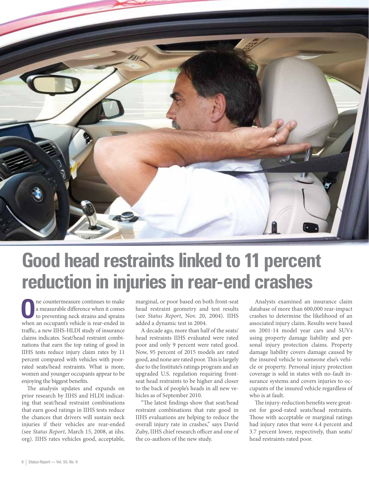

### **Good head restraints linked to 11 percent reduction in injuries in rear-end crashes**

**O** ne countermeasure continues to make<br>
to preventing neck strains and sprains<br>
to preventing neck strains and sprains a measurable difference when it comes when an occupant's vehicle is rear-ended in traffic, a new IIHS-HLDI study of insurance claims indicates. Seat/head restraint combinations that earn the top rating of good in IIHS tests reduce injury claim rates by 11 percent compared with vehicles with poorrated seats/head restraints. What is more, women and younger occupants appear to be enjoying the biggest benefits.

The analysis updates and expands on prior research by IIHS and HLDI indicating that seat/head restraint combinations that earn good ratings in IIHS tests reduce the chances that drivers will sustain neck injuries if their vehicles are rear-ended (see *Status Report*, March 15, 2008, at iihs. org). IIHS rates vehicles good, acceptable,

marginal, or poor based on both front-seat head restraint geometry and test results (see *Status Report*, Nov. 20, 2004). IIHS added a dynamic test in 2004.

A decade ago, more than half of the seats/ head restraints IIHS evaluated were rated poor and only 9 percent were rated good. Now, 95 percent of 2015 models are rated good, and none are rated poor. This is largely due to the Institute's ratings program and an upgraded U.S. regulation requiring frontseat head restraints to be higher and closer to the back of people's heads in all new vehicles as of September 2010.

"The latest findings show that seat/head restraint combinations that rate good in IIHS evaluations are helping to reduce the overall injury rate in crashes," says David Zuby, IIHS chief research officer and one of the co-authors of the new study.

Analysts examined an insurance claim database of more than 600,000 rear-impact crashes to determine the likelihood of an associated injury claim. Results were based on 2001-14 model year cars and SUVs using property damage liability and personal injury protection claims. Property damage liability covers damage caused by the insured vehicle to someone else's vehicle or property. Personal injury protection coverage is sold in states with no-fault insurance systems and covers injuries to occupants of the insured vehicle regardless of who is at fault.

The injury-reduction benefits were greatest for good-rated seats/head restraints. Those with acceptable or marginal ratings had injury rates that were 4.4 percent and 3.7 percent lower, respectively, than seats/ head restraints rated poor.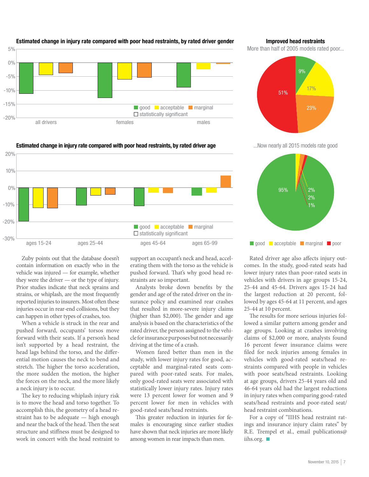

### Estimated change in injury rate compared with poor head restraints, by rated driver gender **Improved head restraints**

### -30% -20%  $-10%$  $\bigcap_{i=1}^{n} O_{i}$ 10% 20% ages 15-24 ages 25-44 ages 45-64 ages 65-99 ■ good ■ acceptable ■ marginal  $\Box$  statistically significant Estimated change in injury rate compared with poor head restraints, by rated driver age

Zuby points out that the database doesn't contain information on exactly who in the vehicle was injured — for example, whether they were the driver — or the type of injury. Prior studies indicate that neck sprains and strains, or whiplash, are the most frequently reported injuries to insurers. Most often these injuries occur in rear-end collisions, but they can happen in other types of crashes, too.

When a vehicle is struck in the rear and pushed forward, occupants' torsos move forward with their seats. If a person's head isn't supported by a head restraint, the head lags behind the torso, and the differential motion causes the neck to bend and stretch. The higher the torso acceleration, the more sudden the motion, the higher the forces on the neck, and the more likely a neck injury is to occur.

The key to reducing whiplash injury risk is to move the head and torso together. To accomplish this, the geometry of a head restraint has to be adequate — high enough and near the back of the head. Then the seat structure and stiffness must be designed to work in concert with the head restraint to

support an occupant's neck and head, accelerating them with the torso as the vehicle is pushed forward. That's why good head restraints are so important.

Analysts broke down benefits by the gender and age of the rated driver on the insurance policy and examined rear crashes that resulted in more-severe injury claims (higher than \$2,000). The gender and age analysis is based on the characteristics of the rated driver, the person assigned to the vehicle for insurance purposes but not necessarily driving at the time of a crash.

Women fared better than men in the study, with lower injury rates for good, acceptable and marginal-rated seats compared with poor-rated seats. For males, only good-rated seats were associated with statistically lower injury rates. Injury rates were 13 percent lower for women and 9 percent lower for men in vehicles with good-rated seats/head restraints.

This greater reduction in injuries for females is encouraging since earlier studies have shown that neck injuries are more likely among women in rear impacts than men.

More than half of 2005 models rated poor...



...Now nearly all 2015 models rate good



Rated driver age also affects injury outcomes. In the study, good-rated seats had lower injury rates than poor-rated seats in vehicles with drivers in age groups 15-24, 25-44 and 45-64. Drivers ages 15-24 had the largest reduction at 20 percent, followed by ages 45-64 at 11 percent, and ages 25-44 at 10 percent.

The results for more serious injuries followed a similar pattern among gender and age groups. Looking at crashes involving claims of \$2,000 or more, analysts found 16 percent fewer insurance claims were filed for neck injuries among females in vehicles with good-rated seats/head restraints compared with people in vehicles with poor seats/head restraints. Looking at age groups, drivers 25-44 years old and 46-64 years old had the largest reductions in injury rates when comparing good-rated seats/head restraints and poor-rated seat/ head restraint combinations.

For a copy of "IIHS head restraint ratings and insurance injury claim rates" by R.E. Trempel et al., email publications@ iihs.org.  $\Box$